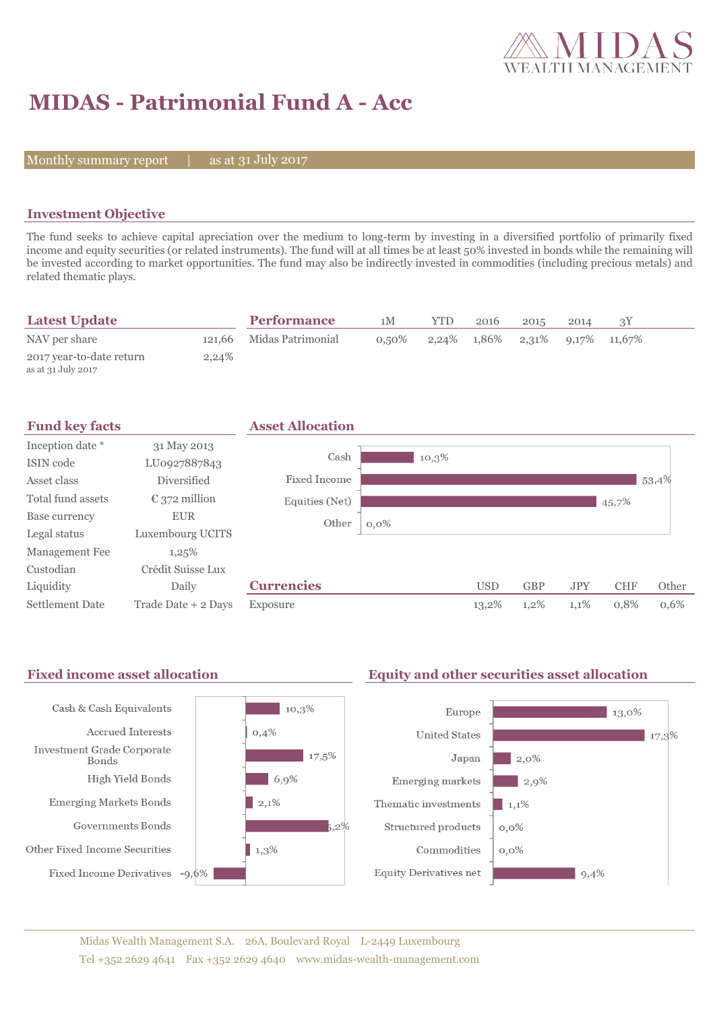

# **MIDAS - Patrimonial Fund A - Acc**

Monthly summary report  $|$ 

as at 31 July 2017

### **Investment Objective**

The fund seeks to achieve capital apreciation over the medium to long-term by investing in a diversified portfolio of primarily fixed income and equity securities (or related instruments). The fund will at all times be at least 50% invested in bonds while the remaining will be invested according to market opportunities. The fund may also be indirectly invested in commodities (including precious metals) and related thematic plays.

| <b>Latest Update</b>                           |       | <b>Performance</b>       | 1M       | YTD | 2016                                          | 2015 | 2014 |  |
|------------------------------------------------|-------|--------------------------|----------|-----|-----------------------------------------------|------|------|--|
| NAV per share                                  |       | 121,66 Midas Patrimonial | $0.50\%$ |     | $2,24\%$ $1,86\%$ $2,31\%$ $9,17\%$ $11,67\%$ |      |      |  |
| 2017 year-to-date return<br>as at 31 July 2017 | 2.24% |                          |          |     |                                               |      |      |  |



#### Fixed income asset allocation **Equity and other securities asset allocation** Cash & Cash Equivalents  $10,3\%$ Europe  $\blacksquare$  13,0% Accrued Interests  $0,4%$ **United States**  $\parallel$  17,3% Investment Grade Corporate  $17,5%$ Japan  $12.0\%$ Bonds High Yield Bonds  $6,9%$ Emerging markets  $\vert$  2,9% **Emerging Markets Bonds**  $\vert$  2,1% Thematic investments  $1,1%$ Governments Bonds  $5.2\%$ Structured products  $0,0\%$ Other Fixed Income Securities  $1,3\%$ Commodities  $0.0\%$ Fixed Income Derivatives -9,6% Equity Derivatives net  $9,4%$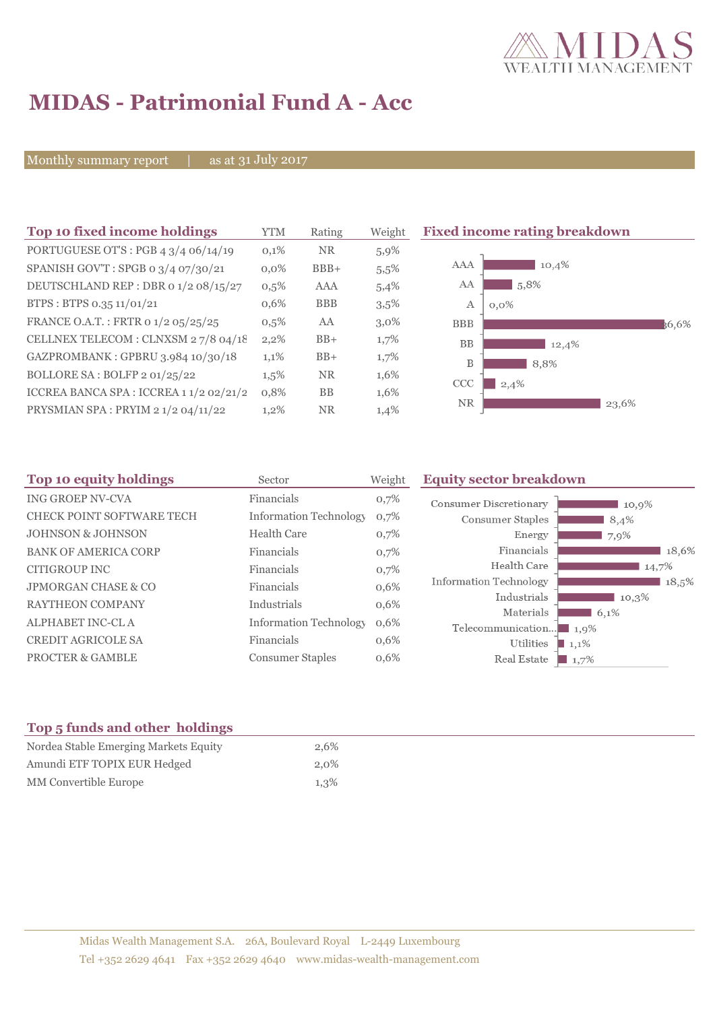

# **MIDAS - Patrimonial Fund A - Acc**

Monthly summary report | as at 31 July 2017

| Top 10 fixed income holdings            | <b>YTM</b> | Rating     | Weight  | <b>Fixed income rating breakdown</b> |
|-----------------------------------------|------------|------------|---------|--------------------------------------|
| PORTUGUESE OT'S : PGB 4 3/4 06/14/19    | 0,1%       | <b>NR</b>  | 5,9%    |                                      |
| SPANISH GOV'T: SPGB o 3/4 07/30/21      | $0.0\%$    | $BBB+$     | 5,5%    | AAA<br>10,4%                         |
| DEUTSCHLAND REP : DBR 0 1/2 08/15/27    | 0,5%       | AAA        | 5,4%    | 5,8%<br>AA                           |
| BTPS: BTPS 0.35 11/01/21                | 0,6%       | <b>BBB</b> | $3,5\%$ | А<br>$0.0\%$                         |
| FRANCE O.A.T.: FRTR 0 1/2 05/25/25      | $0,5\%$    | AA         | $3,0\%$ | <b>BBB</b><br>36.6%                  |
| CELLNEX TELECOM : CLNXSM 27/8 04/18     | 2,2%       | $BB+$      | $1,7\%$ | <b>BB</b><br>12,4%                   |
| GAZPROMBANK: GPBRU 3.984 10/30/18       | 1,1%       | $BB+$      | 1,7%    | B<br>8,8%                            |
| BOLLORE SA : BOLFP 2 01/25/22           | 1,5%       | <b>NR</b>  | 1,6%    | <b>CCC</b><br>2,4%                   |
| ICCREA BANCA SPA : ICCREA 1 1/2 02/21/2 | 0,8%       | <b>BB</b>  | 1,6%    |                                      |
| PRYSMIAN SPA: PRYIM 2 1/2 04/11/22      | 1,2%       | <b>NR</b>  | 1,4%    | <b>NR</b><br>23,6%                   |

| Top 10 equity holdings<br>Sector |                               | Weight | <b>Equity sector breakdown</b>                 |  |  |  |
|----------------------------------|-------------------------------|--------|------------------------------------------------|--|--|--|
| <b>ING GROEP NV-CVA</b>          | Financials                    | 0,7%   | <b>Consumer Discretionary</b><br>10,9%         |  |  |  |
| CHECK POINT SOFTWARE TECH        | <b>Information Technology</b> | 0,7%   | Consumer Staples<br>8,4%                       |  |  |  |
| <b>JOHNSON &amp; JOHNSON</b>     | <b>Health Care</b>            | 0,7%   | Energy<br>7,9%                                 |  |  |  |
| <b>BANK OF AMERICA CORP</b>      | Financials                    | 0,7%   | Financials<br>18,6%                            |  |  |  |
| CITIGROUP INC                    | Financials                    | 0,7%   | Health Care<br>14,7%                           |  |  |  |
| <b>JPMORGAN CHASE &amp; CO</b>   | Financials                    | 0,6%   | <b>Information Technology</b><br>18,5%         |  |  |  |
| <b>RAYTHEON COMPANY</b>          | Industrials                   | 0,6%   | Industrials<br>10.3%                           |  |  |  |
| <b>ALPHABET INC-CLA</b>          | <b>Information Technology</b> | 0,6%   | Materials<br>6,1%<br>Telecommunication<br>1,9% |  |  |  |
| <b>CREDIT AGRICOLE SA</b>        | Financials                    | 0,6%   | Utilities<br>$1,1\%$                           |  |  |  |
| <b>PROCTER &amp; GAMBLE</b>      | <b>Consumer Staples</b>       | 0,6%   | Real Estate<br>1,7%                            |  |  |  |

## **Top 5 funds and other holdings**

| Nordea Stable Emerging Markets Equity | 2,6% |
|---------------------------------------|------|
| Amundi ETF TOPIX EUR Hedged           | 2,0% |
| MM Convertible Europe                 | 1,3% |